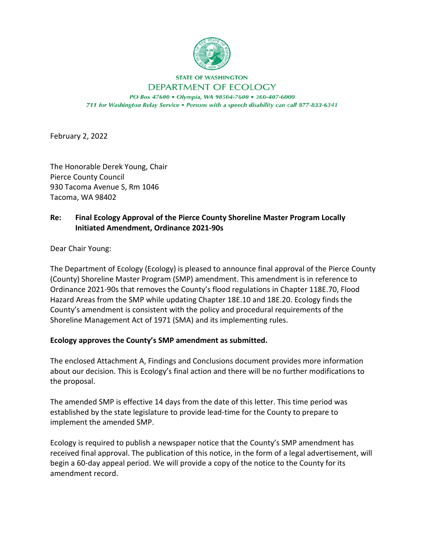

## **STATE OF WASHINGTON** DEPARTMENT OF ECOLOGY PO Box 47600 . Olympia, WA 98504-7600 . 360-407-6000 711 for Washington Relay Service . Persons with a speech disability can call 877-833-6341

February 2, 2022

The Honorable Derek Young, Chair Pierce County Council 930 Tacoma Avenue S, Rm 1046 Tacoma, WA 98402

## **Re: Final Ecology Approval of the Pierce County Shoreline Master Program Locally Initiated Amendment, Ordinance 2021-90s**

Dear Chair Young:

The Department of Ecology (Ecology) is pleased to announce final approval of the Pierce County (County) Shoreline Master Program (SMP) amendment. This amendment is in reference to Ordinance 2021-90s that removes the County's flood regulations in Chapter 118E.70, Flood Hazard Areas from the SMP while updating Chapter 18E.10 and 18E.20. Ecology finds the County's amendment is consistent with the policy and procedural requirements of the Shoreline Management Act of 1971 (SMA) and its implementing rules.

## **Ecology approves the County's SMP amendment as submitted.**

The enclosed Attachment A, Findings and Conclusions document provides more information about our decision. This is Ecology's final action and there will be no further modifications to the proposal.

The amended SMP is effective 14 days from the date of this letter. This time period was established by the state legislature to provide lead-time for the County to prepare to implement the amended SMP.

Ecology is required to publish a newspaper notice that the County's SMP amendment has received final approval. The publication of this notice, in the form of a legal advertisement, will begin a 60-day appeal period. We will provide a copy of the notice to the County for its amendment record.